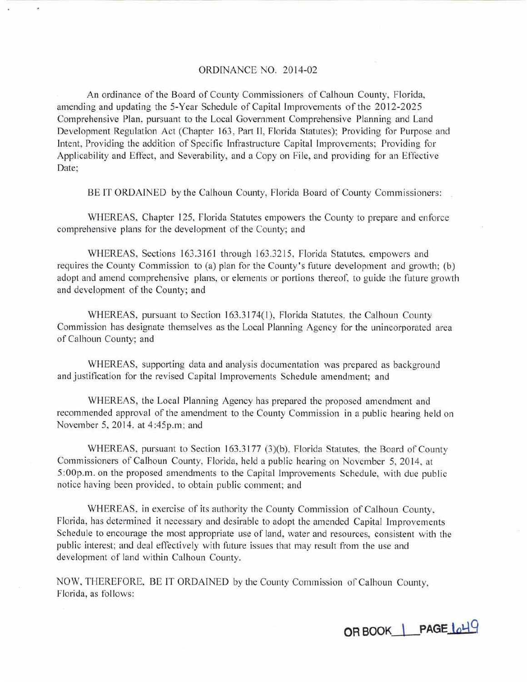# ORDINANCE NO. 2014-02

An ordinance of the Board of County Commissioners of Calhoun County, Florida, amending and updating the 5-Year Schedule of Capital Improvements of the 2012-2025 Comprehensive Plan, pursuant to the Local Government Comprehensive Planning and Land Development Regulation Act (Chapter 163, Part II, Florida Statutes); Providing for Purpose and Intent, Providing the addition of Specific Infrastructure Capital Improvements: Providing for Applicability and Effect, and Severability, and a Copy on File, and providing for an Effective Date;

BE IT ORDAINED by the Calhoun County, Florida Board of County Commissioners:

WHEREAS, Chapter 125, Florida Statutes empowers the County to prepare and enforce comprehensive plans for the development of the County; and

WHEREAS, Sections 163.3161 through 163.3215, Florida Statutes, empowers and requires the County Commission to (a) plan for the County's future development and growth; (b) adopt and amend comprehensive plans, or elements or portions thereof, to guide the future growth and development of the County; and

WHEREAS, pursuant to Section 163.3174(1), Florida Statutes, the Calhoun County Commission has designate themselves as the Local Planning Agency for the unincorporated area of Calhoun County; and

WHEREAS, supporting data and analysis documentation was prepared as background and justification for the revised Capital Improvements Schedule amendment; and

WHEREAS, the Local Planning Agency has prepared the proposed amendment and recommended approval of the amendment to the County Commission in a public hearing held on November 5, 2014. at 4:45p.m; and

WHEREAS, pursuant to Section 163.3177 (3)(b), Florida Statutes, the Board of County Commissioners of Calhoun County, Florida, held a public hearing on November 5, 2014, at 5:00p.m. on the proposed amendments to the Capital Improvements Schedule, with due public notice having been provided. to obtain public comment; and

WHEREAS, in exercise of its authority the County Commission of Calhoun County. Florida, has determined it necessary and desirable to adopt the amended Capital Improvements Schedule to encourage the most appropriate use of land, water and resources, consistent with the public interest; and deal effectively with future issues that may result from the use and development of land within Calhoun County.

NOW. THEREFORE, BE TT OROATNED by the County Commission of Calhoun County, Florida, as follows:

**OR BOOK \ PAGE lol..\9**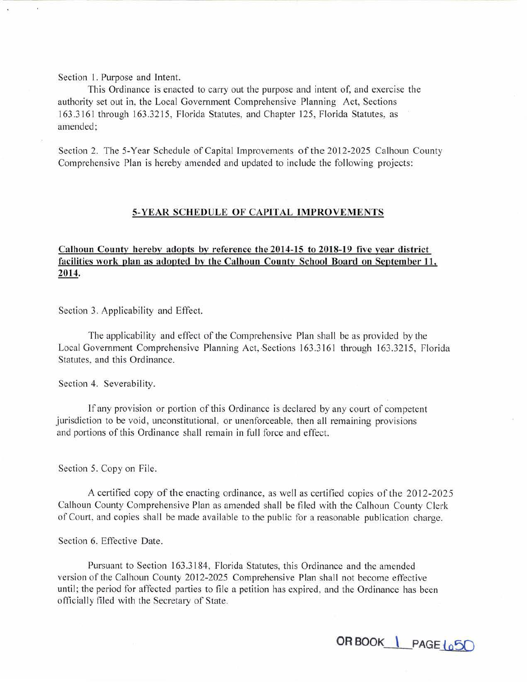Section 1. Purpose and Intent.

This Ordinance is enacted to carry out the purpose and intent of, and exercise the authority set out in, the Local Government Comprehensive Planning Act, Sections **1** 63.3161 through 163.3215, Florida Statutes, and Chapter 125, Florida Statutes, as amended;

Section 2. The 5-Year Schedule of Capital Improvements of the 2012-2025 Calhoun County Comprehensive Plan is hereby amended and updated to include the following projects:

# **5-YEAR SCHEDULE OF CAPITAL IMPROVEMENTS**

# **Calhoun County herebv adopts bv reference the 2014-15 to 2018-19 five year district facilities work plan as adopted by the Calhoun County School Board on September 11, 2014.**

Section 3. Applicability and Effect.

The applicability and effect of the Comprehensive Plan shall be as provided by the Local Government Comprehensive Planning Act, Sections 163.3161 through 163.3215, Florida Statutes, and this Ordinance.

Section 4. Severability.

If any provision or portion of this Ordinance is declared by any court of competent jurisdiction to be void, unconstitutional. or unenforceable, then all remaining provisions and portions of this Ordinance shall remain in full force and effect.

Section 5. Copy on File.

A certified copy of the enacting ordinance, as well as certified copies of the 2012-2025 Calhoun County Comprehensive Plan as amended shall be filed with the Calhoun County Clerk of Court, and copies shall be made available to the public for a reasonable publication charge.

Section 6. Effective Date.

Pursuant to Section 163.3184, Florida Statutes, this Ordinance and the amended version of the Calhoun County 2012-2025 Comprehensive Plan shall not become effective until; the period for affected parties to file a petition has expired, and the Ordinance has been officially filed with the Secretary of State.

**ORBOOK \ PAGE {o5()**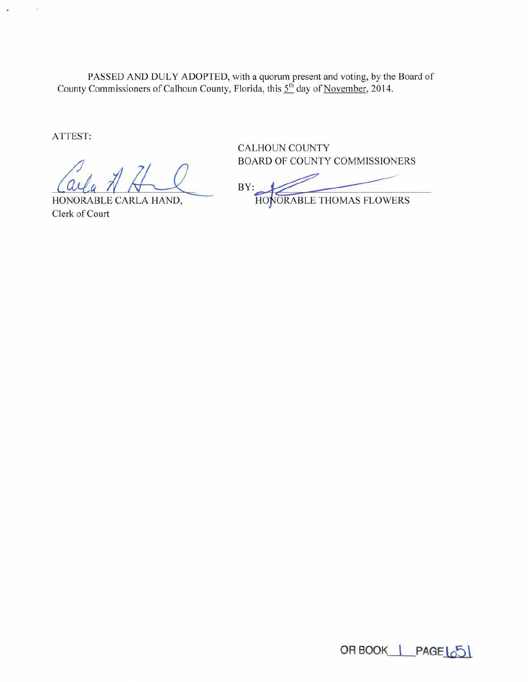PASSED AND DULY ADOPTED, with a quorum present and voting, by the Board of County Commissioners of Calhoun County, Florida, this  $5^{th}$  day of <u>November</u>, 2014.

ATTEST:

HONORABLE CARLA HAND, Clerk of Court

**CALHOUN COUNTY** BOARD OF COUNTY COMMISSIONERS

 $BY:$ 

HONORABLE THOMAS FLOWERS

OR BOOK | PAGE 65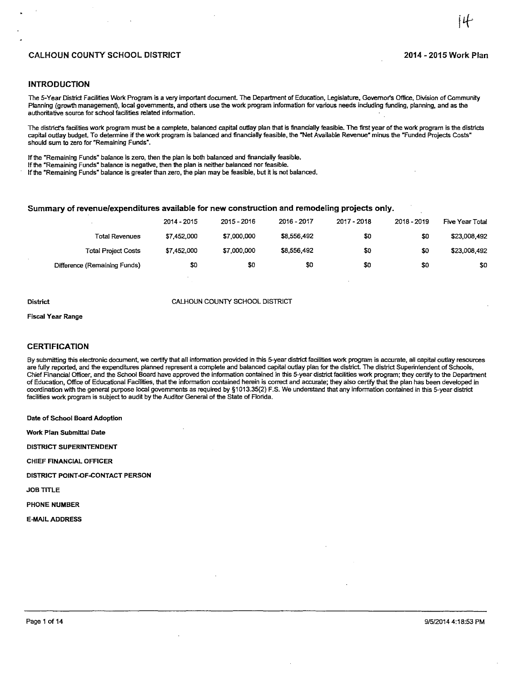# CALHOUN COUNTY SCHOOL DISTRICT 2014-2015 Work Plan

#### **INTRODUCTION**

The 5-Year District Facilities Work Program is a very important document. The Department of Education, Legislature, Governor's Office, Division of Community Planning (growth management), local governments, and others use the work program information for various needs including funding, planning, and as the authoritative source for school facilities related information.

The district's facilities work program must be a complete, balanced capital outlay plan that is financially feasible. The first year of the work program is the districts capital outlay budget. To determine if the work program is balanced and financially feasible, the "Net Available Revenue" minus the "Funded Projects Costs" should sum to zero for "Remaining Funds".

If the "Remaining Funds" balance is zero, then the plan is both balanced and financially feasible. If the "Remaining Funds" balance is negative, then the plan is neither balanced nor feasible.

If the "Remaining Funds" balance is greater than zero, the plan may be feasible, but it is not balanced.

## Summary of revenue/expenditures available for new construction and remodeling projects only.

|                              | 2014 - 2015 | 2015 - 2016 | 2016 - 2017 | 2017 - 2018 | 2018 - 2019 | Five Year Total |
|------------------------------|-------------|-------------|-------------|-------------|-------------|-----------------|
| Total Revenues               | \$7,452,000 | \$7,000,000 | \$8,556,492 | \$0         | \$0         | \$23,008,492    |
| <b>Total Project Costs</b>   | \$7,452,000 | \$7,000,000 | \$8,556,492 | \$0         | \$0         | \$23,008,492    |
| Difference (Remaining Funds) | \$0         | \$0         | \$0         | \$0         | \$0         | \$0             |

#### District CALHOUN COUNTY SCHOOL DISTRICT

Fiscal Year Range

#### CERTIFICATION

By submitting this electronic document, we certify that all information provided in this 5-year district facilities work program is accurate, all capital outlay resources are fully reported, and the expenditures planned represent a complete and balanced capital outlay plan for the district. The dislrict Superintendent of Schools, Chief Financial Officer, and the School Board have approved the information contained in this 5-year district facilities work program; they certify to the Department of Education, Office of Educational Facilities, that the information contained herein is correct and accurate; they also certify that the plan has been developed in coordination with the general purpose local governments as required by §1013.35(2) F.S. We understand that any information contained in this 5-year district facilities work program is subject to audit by the Auditor General of the State of Florida.

Date of School Board Adoption

Work Plan Submittal Date

DISTRICT SUPERINTENDENT

CHIEF FINANCIAL OFFICER

DISTRICT POINT-OF-CONTACT PERSON

JOB TITLE

PHONE NUMBER

E-MAIL ADDRESS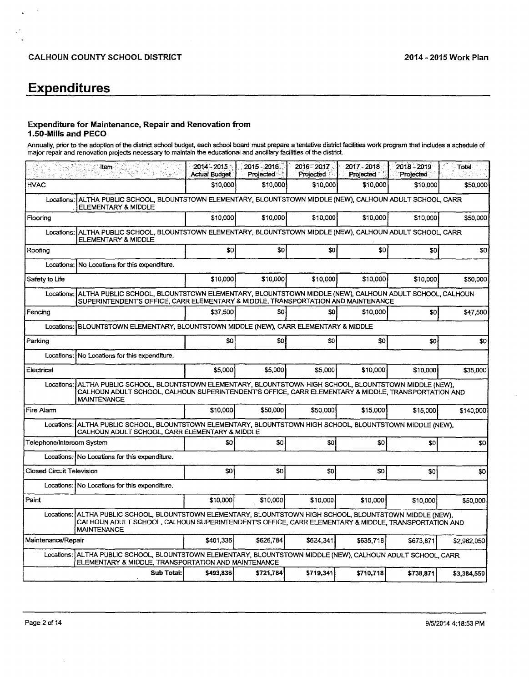# **Expenditures**

 $\overline{a}$  $\ddot{\phantom{a}}$ 

#### Expenditure for Maintenance, Repair and Renovation from 1.50-Mills and PECO .

Annually, prior to the adoption of the district school budget, each school board must prepare a tentative district facilities work program that includes a schedule of major repair and renovation projects necessary to maintain the educational and ancillary facilities of the district

|                                  | <b>Item</b>                                                                                                                                                                                                                  | $2014 - 2015$<br><b>Actual Budget</b> | 2015 - 2016<br>Projected | 2016-2017<br>Projected | 2017 - 2018<br>Projected | 2018 - 2019<br>Projected | - Total     |
|----------------------------------|------------------------------------------------------------------------------------------------------------------------------------------------------------------------------------------------------------------------------|---------------------------------------|--------------------------|------------------------|--------------------------|--------------------------|-------------|
| <b>HVAC</b>                      |                                                                                                                                                                                                                              | \$10,000                              | \$10,000                 | \$10,000               | \$10,000                 | \$10,000                 | \$50,000    |
| Locations:                       | ALTHA PUBLIC SCHOOL, BLOUNTSTOWN ELEMENTARY, BLOUNTSTOWN MIDDLE (NEW), CALHOUN ADULT SCHOOL, CARR<br>ELEMENTARY & MIDDLE                                                                                                     |                                       |                          |                        |                          |                          |             |
| Flooring                         |                                                                                                                                                                                                                              | \$10,000                              | \$10,000                 | \$10,000               | \$10,000                 | \$10,000                 | \$50,000    |
| Locations:                       | ALTHA PUBLIC SCHOOL, BLOUNTSTOWN ELEMENTARY, BLOUNTSTOWN MIDDLE (NEW), CALHOUN ADULT SCHOOL, CARR<br>ELEMENTARY & MIDDLE                                                                                                     |                                       |                          |                        |                          |                          |             |
| Roofing                          |                                                                                                                                                                                                                              | <b>SO</b>                             | \$0                      | S <sub>0</sub>         | \$0                      | \$0                      | \$0         |
| Locations:                       | No Locations for this expenditure.                                                                                                                                                                                           |                                       |                          |                        |                          |                          |             |
| Safety to Life                   |                                                                                                                                                                                                                              | \$10,000                              | \$10,000                 | \$10,000               | \$10,000                 | \$10,000                 | \$50,000    |
| Locations:                       | ALTHA PUBLIC SCHOOL, BLOUNTSTOWN ELEMENTARY, BLOUNTSTOWN MIDDLE (NEW), CALHOUN ADULT SCHOOL, CALHOUN<br>SUPERINTENDENT'S OFFICE, CARR ELEMENTARY & MIDDLE, TRANSPORTATION AND MAINTENANCE                                    |                                       |                          |                        |                          |                          |             |
| Fencing                          |                                                                                                                                                                                                                              | \$37,500                              | \$0                      | 50                     | \$10,000                 | SO                       | \$47,500    |
| Locations:                       | BLOUNTSTOWN ELEMENTARY, BLOUNTSTOWN MIDDLE (NEW), CARR ELEMENTARY & MIDDLE                                                                                                                                                   |                                       |                          |                        |                          |                          |             |
| Parking                          |                                                                                                                                                                                                                              | SO <sub>2</sub>                       | \$0                      | \$0                    | \$0                      | \$0                      | \$0         |
| Locations:                       | No Locations for this expenditure.                                                                                                                                                                                           |                                       |                          |                        |                          |                          |             |
| Electrical                       |                                                                                                                                                                                                                              | \$5,000                               | \$5,000                  | \$5,000                | \$10,000                 | \$10,000                 | \$35,000    |
| Locations:                       | ALTHA PUBLIC SCHOOL, BLOUNTSTOWN ELEMENTARY, BLOUNTSTOWN HIGH SCHOOL, BLOUNTSTOWN MIDDLE (NEW).<br>CALHOUN ADULT SCHOOL, CALHOUN SUPERINTENDENT'S OFFICE, CARR ELEMENTARY & MIDDLE, TRANSPORTATION AND<br><b>MAINTENANCE</b> |                                       |                          |                        |                          |                          |             |
| Fire Alam                        |                                                                                                                                                                                                                              | \$10,000                              | \$50,000                 | \$50,000               | \$15,000                 | \$15,000                 | \$140,000   |
| Locations:                       | ALTHA PUBLIC SCHOOL, BLOUNTSTOWN ELEMENTARY, BLOUNTSTOWN HIGH SCHOOL, BLOUNTSTOWN MIDDLE (NEW).<br>CALHOUN ADULT SCHOOL, CARR ELEMENTARY & MIDDLE                                                                            |                                       |                          |                        |                          |                          |             |
| Telephone/Intercom System        |                                                                                                                                                                                                                              | SO.                                   | \$0                      | \$O                    | \$0                      | \$0                      | \$0         |
|                                  | Locations: No Locations for this expenditure.                                                                                                                                                                                |                                       |                          |                        |                          |                          |             |
| <b>Closed Circuit Television</b> |                                                                                                                                                                                                                              | \$0                                   | \$0                      | \$0                    | \$0                      | SO <sub>1</sub>          | \$0         |
|                                  | Locations: No Locations for this expenditure.                                                                                                                                                                                |                                       |                          |                        |                          |                          |             |
| Paint                            |                                                                                                                                                                                                                              | \$10,000                              | \$10,000                 | \$10,000               | \$10,000                 | \$10,000                 | \$50,000    |
| Locations:                       | ALTHA PUBLIC SCHOOL, BLOUNTSTOWN ELEMENTARY, BLOUNTSTOWN HIGH SCHOOL, BLOUNTSTOWN MIDDLE (NEW),<br>CALHOUN ADULT SCHOOL, CALHOUN SUPERINTENDENT'S OFFICE, CARR ELEMENTARY & MIDDLE, TRANSPORTATION AND<br><b>MAINTENANCE</b> |                                       |                          |                        |                          |                          |             |
| Maintenance/Repair               |                                                                                                                                                                                                                              | \$401.336                             | \$626,784                | \$624,341              | \$635,718                | \$673,871                | \$2,962,050 |
| Locations:                       | ALTHA PUBLIC SCHOOL, BLOUNTSTOWN ELEMENTARY, BLOUNTSTOWN MIDDLE (NEW), CALHOUN ADULT SCHOOL, CARR<br>ELEMENTARY & MIDDLE, TRANSPORTATION AND MAINTENANCE                                                                     |                                       |                          |                        |                          |                          |             |
|                                  | Sub Total:                                                                                                                                                                                                                   | \$493,836                             | \$721,784                | \$719,341              | \$710,718                | \$738,871                | \$3,384,550 |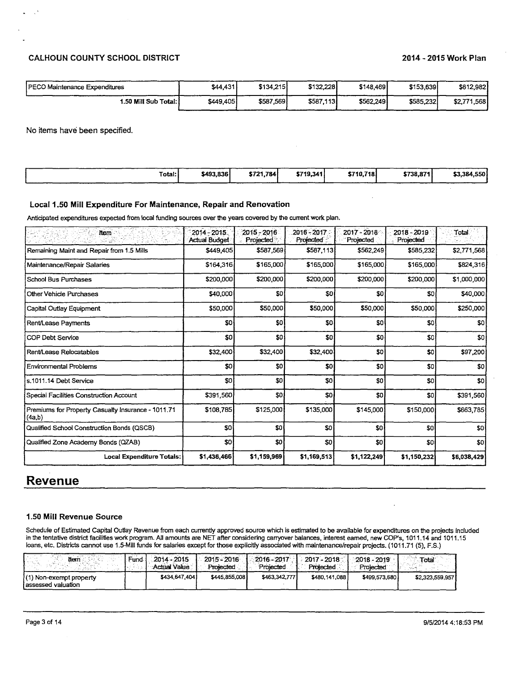# CALHOUN COUNTY SCHOOL DISTRICT 2014-2015 Work Plan

| PECO Maintenance Expenditures | \$44,431  | \$134.215 | \$132,228 | \$148,469 | \$153,639 | \$612,982   |
|-------------------------------|-----------|-----------|-----------|-----------|-----------|-------------|
| 1.50 Mill Sub Total: I        | \$449,405 | \$587,569 | \$587,113 | \$562.249 | \$585,232 | \$2,771,568 |

No items have been specified.

 $\mathbb{R}^3$ 

| Total: I | \$493,836 | \$721.784 | \$719,341 | \$710.718 | \$738,871 | \$3,384,550 |
|----------|-----------|-----------|-----------|-----------|-----------|-------------|
|          |           |           |           |           |           |             |
|          |           |           |           |           |           |             |
|          |           |           |           |           |           |             |

# Local 1.50 Mill Expenditure For Maintenance, Repair and Renovation

Anticipated expenditures expected from local funding sources over the years covered by the current work plan.

| <b>Item</b>                                                  | 2014-2015.<br>Actual Budget | $2015 - 2016$<br>Projected | 2016 - 2017<br>Projected | $2017 - 2018$<br>Projected | 2018 - 2019<br>Projected | Total           |
|--------------------------------------------------------------|-----------------------------|----------------------------|--------------------------|----------------------------|--------------------------|-----------------|
| Remaining Maint and Repair from 1.5 Mills                    | \$449,405                   | \$587,569                  | \$587,113                | \$562,249                  | \$585,232                | \$2,771,568     |
| Maintenance/Repair Salaries                                  | \$164,316                   | \$165,000                  | \$165,000                | \$165,000                  | \$165,000                | \$824,316       |
| School Bus Purchases                                         | \$200,000                   | \$200,000                  | \$200,000                | \$200,000                  | \$200,000                | \$1,000,000     |
| Other Vehicle Purchases                                      | \$40,000                    | \$0                        | \$0                      | \$0                        | \$0                      | \$40,000        |
| Capital Outlay Equipment                                     | \$50,000                    | \$50,000                   | \$50,000                 | \$50,000                   | \$50,000                 | \$250,000       |
| Rent/Lease Payments                                          | \$0                         | \$0                        | \$0                      | \$0                        | \$0                      | \$0             |
| <b>COP Debt Service</b>                                      | \$0                         | \$0                        | \$0                      | \$0                        | -sol                     | \$0             |
| Rent/Lease Relocatables                                      | \$32,400                    | \$32,400                   | \$32,400                 | \$0                        | SO)                      | \$97,200        |
| Environmental Problems                                       | \$0                         | \$0                        | \$0                      | SO                         | SO.                      | \$0             |
| s.1011.14 Debt Service                                       | \$0                         | SO                         | \$0                      | \$0                        | \$0                      | \$0             |
| Special Facilities Construction Account                      | \$391,560                   | SO <sub>1</sub>            | \$0                      | SO <sub>1</sub>            | \$0                      | \$391,560       |
| Premiums for Property Casualty Insurance - 1011.71<br>(4a,b) | \$108,785                   | \$125,000                  | \$135,000                | \$145,000                  | \$150,000                | \$663,785       |
| Qualified School Construction Bonds (QSCB)                   | \$0                         | \$0                        | \$0                      | \$0                        | \$0                      | SO <sub>2</sub> |
| Qualified Zone Academy Bonds (QZAB)                          | \$0                         | \$0                        | SO                       | \$0                        | <b>SO</b>                | \$0             |
| Local Expenditure Totals:                                    | \$1,436,466                 | \$1,159,969                | \$1,169,513              | \$1,122,249                | \$1,150,232              | \$6,038,429     |

# **Revenue**

## 1.50 Mill Revenue Source

Schedule of Estimated Capital Outlay Revenue from each currently approved source which is estimated to be available for expenditures on the projects included in the tentative district facilities work program. All amounts are NET after considering carryover balances, interest earned, new COP's, 1011.14 and 1011.15 loans, etc. Districts cannot use 1.5-Mill funds for salaries except for those explicitly associated with maintenance/repair projects. (1011.71 (5), F.S.)

| lteri                                           | .<br>Fund | $2014 - 2015$<br>: Actual Value | 2015 - 2016<br><b>Projected</b> | $2016 - 2017$<br>Projected | $2017 - 2018$<br><b>Projected</b> | $-2018 - 2019$<br>Projected | Total           |
|-------------------------------------------------|-----------|---------------------------------|---------------------------------|----------------------------|-----------------------------------|-----------------------------|-----------------|
| (1) Non-exempt property<br>l assessed valuation |           | \$434,647,4041                  | \$445,855,008                   | \$463,342,7771             | \$480,141,088                     | \$499,573,680               | \$2,323,559,957 |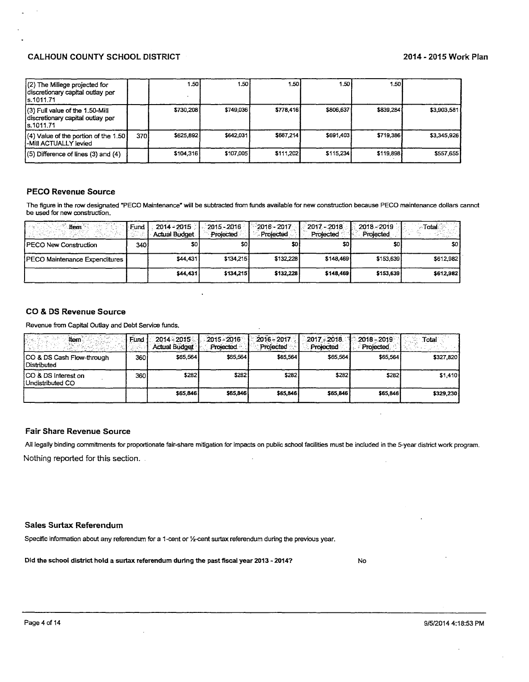| (2) The Millege projected for<br>discretionary capital outlay per<br>ls.1011.71   |      | I .50 I   | l.50 l     | 1.501     | 1.50 l    | 1.50      |             |
|-----------------------------------------------------------------------------------|------|-----------|------------|-----------|-----------|-----------|-------------|
| (3) Full value of the 1.50-Mill<br>discretionary capital outlay per<br>is.1011.71 |      | \$730,208 | \$749.036  | \$778,416 | \$806,637 | \$839,284 | \$3,903,581 |
| $(4)$ Value of the portion of the 1.50 $\vert$<br>-Mill ACTUALLY levied           | 3701 | \$625,892 | \$642.0311 | \$667,214 | \$691,403 | \$719,386 | \$3,345,926 |
| (5) Difference of lines (3) and (4)                                               |      | \$104,316 | \$107,005  | \$111,202 | \$115,234 | \$119,898 | \$557,655   |

# **PECO Revenue Source**

The figure in the row designated "PECO Maintenance" will be subtracted from funds available for new construction because PECO maintenance dollars cannot be used for new construction.

| ltern                         | Fund | $2014 - 2015$<br><b>Actual Budget</b> | 2015 - 2016<br>Projected. | 2016 - 2017<br>- Projected | $2017 - 2018$<br>Projected | 2018-2019<br>Projected | Total     |
|-------------------------------|------|---------------------------------------|---------------------------|----------------------------|----------------------------|------------------------|-----------|
| PECO New Construction         | 340  | SO I                                  | sol                       | \$D                        | \$0.                       | \$0.                   | \$0 I     |
| PECO Maintenance Expenditures |      | \$44,4311                             | \$134,215                 | \$132,228                  | \$148,469                  | \$153,639              | \$612,982 |
|                               |      | \$44,431                              | \$134.215                 | \$132,228                  | \$148,469                  | \$153,639              | \$612.982 |

#### **CO & DS Revenue Source**

Revenue from Capital Outlay and Debt Service funds.

| ltem                                       | Fund. | $2014 - 2015$<br><b>Actual Budget</b> | $2015 - 2016$<br>Projected | $2016 - 2017$<br>Projected | $2017 - 2018$<br>Projected | $-2018 - 2019$<br>Projected | Total     |
|--------------------------------------------|-------|---------------------------------------|----------------------------|----------------------------|----------------------------|-----------------------------|-----------|
| CO & DS Cash Flow-through<br>l Distributed | 360   | \$65,564                              | \$65.564                   | \$65,564                   | \$65.564                   | \$65,564                    | \$327,820 |
| ICO & DS Interest on<br>Undistributed CO   | 360   | \$282                                 | \$282                      | \$282                      | \$282                      | \$282                       | \$1,410   |
|                                            |       | \$65,846                              | \$65,846                   | \$65,846                   | \$65,846                   | \$65,846                    | \$329,230 |

#### **Fair Share Revenue Source**

All legally binding commitments for proportionate fair-share mitigation for impacts on public school facilities must be included in the 5-year district work program. Nothing reported for this section.

#### **Sales Surtax Referendum**

Specific information about any referendum for a 1-cent or 1/2-cent surtax referendum during the previous year.

Did the school district hold a surtax referendum during the past fiscal year 2013 - 2014?

**No** 

 $\ddot{\phantom{a}}$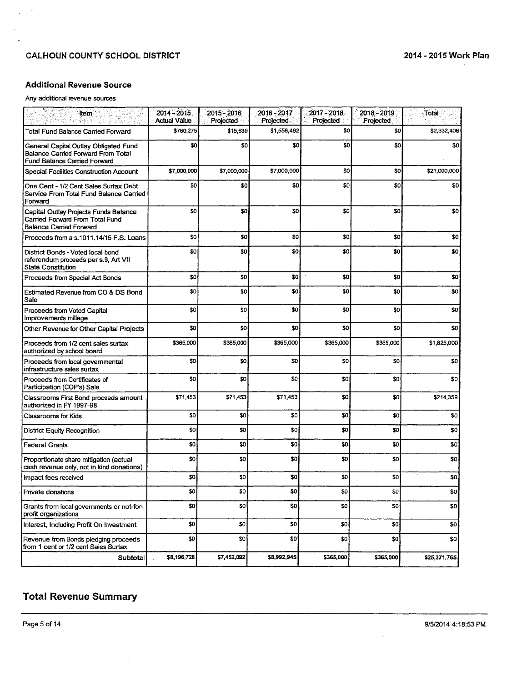$\sim$ 

# Additional Revenue Source

## Any additional revenue sources

 $\sim$ J.

| <b>Hem</b>                                                                                                         | $2014 - 2015$<br><b>Actual Value</b> | 2015 - 2016<br>Projected | $2016 - 2017$<br>Projected | $2017 - 2018$<br>Projected | 2018 - 2019<br>Projected | √Total          |
|--------------------------------------------------------------------------------------------------------------------|--------------------------------------|--------------------------|----------------------------|----------------------------|--------------------------|-----------------|
| Total Fund Balance Carried Forward                                                                                 | \$760,275                            | \$15,639                 | \$1,556,492                | \$0                        | 30                       | \$2,332,406     |
| General Capital Outlay Obligated Fund<br>Balance Carried Forward From Total<br><b>Fund Balance Carried Forward</b> | \$0                                  | \$0                      | \$0                        | \$0                        | SO.                      | \$0             |
| Special Facilities Construction Account                                                                            | \$7,000,000                          | \$7,000,000              | \$7,000,000                | \$0                        | \$0                      | \$21,000,000    |
| One Cent - 1/2 Cent Sales Surtax Debt<br>Service From Total Fund Balance Carried<br>Forward                        | \$0                                  | \$0                      | 50                         | \$0                        | \$0                      | \$0             |
| Capital Outlay Projects Funds Balance<br>Carried Forward From Total Fund<br><b>Balance Carried Forward</b>         | \$0                                  | \$0                      | \$0                        | \$0                        | SO.                      | \$0             |
| Proceeds from a s.1011.14/15 F.S. Loans                                                                            | \$0                                  | SO.                      | \$0                        | \$0                        | \$0                      | \$0             |
| District Bonds - Voted local bond<br>referendum proceeds per s.9, Art VII<br>State Constitution                    | \$0                                  | <b>SO</b>                | \$0                        | \$0                        | \$0                      | \$0             |
| Proceeds from Special Act Bonds                                                                                    | \$0                                  | so                       | 30                         | \$O                        | \$0                      | \$0             |
| Estimated Revenue from CO & DS Bond<br>Sale                                                                        | \$0                                  | \$0                      | \$0                        | \$0                        | \$0                      | \$0             |
| Proceeds from Voted Capital<br>Improvements millage                                                                | \$0                                  | 30                       | \$0                        | \$0                        | \$0                      | \$0             |
| Other Revenue for Other Capital Projects                                                                           | \$0                                  | \$0                      | \$0                        | \$0                        | \$0                      | \$0             |
| Proceeds from 1/2 cent sales surtax<br>authorized by school board                                                  | \$365,000                            | \$365,000                | \$365,000                  | \$365,000                  | \$365,000                | \$1,825,000     |
| Proceeds from local governmental<br>infrastructure sales surtax.                                                   | \$0                                  | \$O                      | \$0                        | \$D                        | \$0                      | \$0             |
| Proceeds from Certificates of<br>Participation (COP's) Sale                                                        | \$0                                  | \$0                      | \$0                        | \$0                        | \$0                      | \$0             |
| Classrooms First Bond proceeds amount<br>authorized in FY 1997-98                                                  | \$71,453                             | \$71,453                 | \$71,453                   | \$0                        | \$0                      | \$214,359       |
| Classrooms for Kids                                                                                                | \$0                                  | \$0                      | \$0                        | \$0                        | \$0                      | \$0             |
| District Equity Recognition                                                                                        | \$0                                  | \$0                      | \$0                        | \$0                        | \$0                      | \$0             |
| <b>Federal Grants</b>                                                                                              | \$0                                  | \$0                      | \$0                        | 30                         | \$0                      | \$0             |
| Proportionate share mitigation (actual<br>cash revenue only, not in kind donations)                                | \$0                                  | SO.                      | \$0                        | \$0                        | \$0                      | \$0             |
| Impact fees received                                                                                               | S <sub>0</sub>                       | \$0                      | 30                         | \$0                        | \$0                      | \$0             |
| Private donations                                                                                                  | \$0                                  | \$O                      | \$0                        | \$0                        | \$0                      | so <sub>1</sub> |
| Grants from local governments or not-for-<br>profit organizations                                                  | \$0                                  | \$O                      | \$0                        | \$0                        | \$0                      | \$0             |
| Interest, Including Profit On Investment                                                                           | \$0                                  | \$0                      | \$0                        | SO <sub>1</sub>            | \$0                      | \$0             |
| Revenue from Bonds pledging proceeds<br>from 1 cent or 1/2 cent Sales Surtax                                       | \$0                                  | \$0                      | \$0                        | 30                         | \$0                      | \$O             |
| Subtotal                                                                                                           | \$8,196,728                          | \$7,452,092              | \$8,992,945                | \$365,000                  | \$365,000                | \$25,371,765    |

 $\mathcal{L}_{\mathcal{A}}$ 

# Total Revenue Summary

 $\bar{z}$ 

 $\ddot{\phantom{a}}$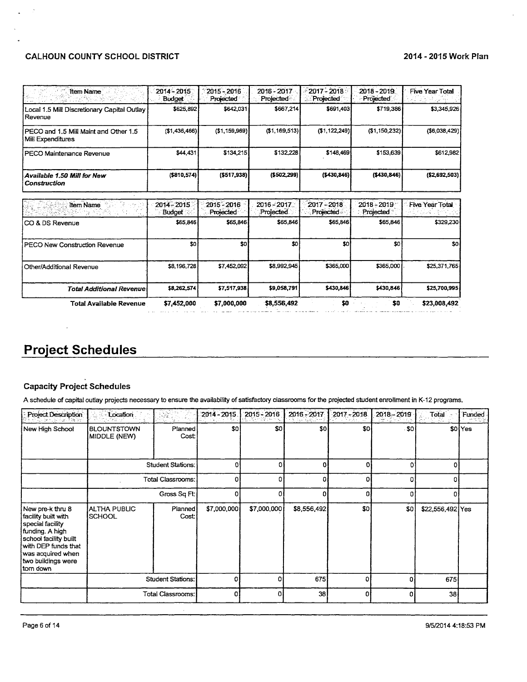# CALHOUN COUNTY SCHOOL DISTRICT **2014 - 2015 Work Plan**

 $\bar{\lambda}$ 

| <b>Item Name</b>                                           | 2014 - 2015<br><b>Budget</b> | 2015 - 2016<br>Projected | 2016 - 2017<br>Projected | 2017 - 2018<br>Projected        | 2018 - 2019<br>Projected   | <b>Five Year Total</b> |
|------------------------------------------------------------|------------------------------|--------------------------|--------------------------|---------------------------------|----------------------------|------------------------|
| Local 1.5 Mill Discretionary Capital Outlay<br>Revenue     | \$625,892                    | \$642,031                | \$667,214                | \$691,403                       | \$719,386                  | \$3,345,926            |
| PECO and 1.5 Mill Maint and Other 1.5<br>Mill Expenditures | ( \$1,436,466)               | ( \$1,159,969)           | (\$1,169,513)            | (\$1, 122, 249)                 | (\$1,150,232)              | ( \$6,038,429)         |
| PECO Maintenance Revenue                                   | \$44,431                     | \$134,215                | \$132,228                | \$148,469                       | \$153,639                  | \$612,982              |
| <b>Available 1.50 Mill for New</b><br><b>Construction</b>  | ( \$810, 574)                | (\$517,938)              | ( \$502, 299]            | (\$430,846)                     | (\$430,846)                | ( \$2,692,503)         |
| Item Name                                                  | 2014 - 2015<br><b>Budget</b> | 2015 - 2016<br>Projected | 2016-2017<br>Projected.  | 2017 - 2018<br><b>Projected</b> | $2018 - 2019$<br>Projected | <b>Five Year Total</b> |
| ICO & DS Revenue                                           | \$65,846                     | \$65,846                 | \$65,846                 | \$65,846                        | \$65,846                   | \$329,230              |
| PECO New Construction Revenue                              | <b>SO</b>                    | \$0                      | \$0                      | <b>SO</b>                       | \$0                        | <b>SO</b>              |
| Other/Additional Revenue                                   | \$8,196,728                  | \$7,452,092              | \$8,992,945              | \$365,000                       | \$365,000                  | \$25,371,765           |
| <b>Total Additional Revenue</b>                            | \$8,262,574                  | \$7,517,938              | \$9,058,791              | \$430,846                       | \$430,846                  | \$25,700,995           |
| <b>Total Available Revenue</b>                             | \$7,452,000                  | \$7,000,000              | \$8,556,492              | \$0                             | \$0                        | \$23,008,492           |

# **Project Schedules**

 $\ddot{\phantom{a}}$ 

# Capacity Project Schedules

A schedule of capital outlay projects necessary to ensure the availability of satisfactory classrooms for the projected student enrollment in K-12 programs.

| Project Description                                                                                                                                                                    | Location                                                             | Ray<br>ita VI<br>V.      | 2014-2015.  | 2015 - 2016 | 2016 - 2017 | $2017 - 2018$ | $2018 - 2019$    | Total            | Funded             |
|----------------------------------------------------------------------------------------------------------------------------------------------------------------------------------------|----------------------------------------------------------------------|--------------------------|-------------|-------------|-------------|---------------|------------------|------------------|--------------------|
| New High School                                                                                                                                                                        | <b>BLOUNTSTOWN</b><br>MIDDLE (NEW)                                   | Planned<br>Cost          | \$0         | \$O         | \$0         | \$O           | .50 <sub>1</sub> |                  | \$0 <sup>Yes</sup> |
|                                                                                                                                                                                        | <b>Student Stations:</b><br><b>Total Classrooms:</b><br>Gross Sq Ft: |                          | ٥           | Ω           | 0           | ΩI            | n                | ΩI               |                    |
|                                                                                                                                                                                        |                                                                      |                          | 0           | n           | o           | ΩI            | n                |                  |                    |
|                                                                                                                                                                                        |                                                                      |                          | n           |             | n           | n             | л                |                  |                    |
| New pre-k thru 8<br>facility built with<br>special facility<br>funding. A high<br>school facility built<br>with DEP funds that<br>was acquired when<br>two buildings were<br>ltom down | <b>ALTHA PUBLIC</b><br>SCHOOL                                        | Planned<br>Cost          | \$7,000,000 | \$7,000,000 | \$8,556,492 | SD.           | SO <sup>1</sup>  | \$22,556,492 Yes |                    |
|                                                                                                                                                                                        |                                                                      | <b>Student Stations:</b> | ſ           |             | 675         |               | o                | 675              |                    |
|                                                                                                                                                                                        |                                                                      | <b>Total Classrooms:</b> | ΩI          | ΩI          | $38$        | n             | ٥i               | 38               |                    |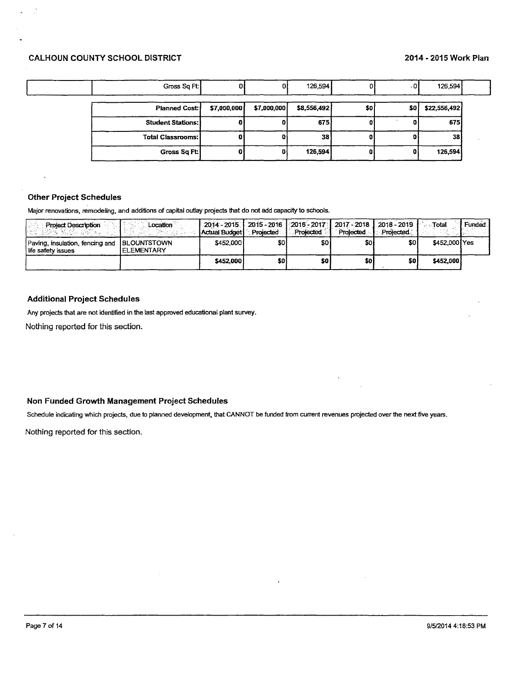| Gross Sq Ft:             |             |             | 126,594     |     | - 01 | 126,594      |
|--------------------------|-------------|-------------|-------------|-----|------|--------------|
| <b>Planned Cost:</b>     | \$7,000,000 | \$7,000,000 | \$8,556,492 | \$0 | \$0  | \$22,556,492 |
| <b>Student Stations:</b> |             |             | 675)        |     |      | 675          |
| <b>Total Classrooms:</b> |             |             | 38          |     |      | <b>381</b>   |
| Gross Sq Ft:             | a           |             | 126,594     |     |      | 126,594      |

# **Other Project Schedules**

Major renovations, remodeling, and additions of capital outlay projects that do not add capacity to schools.

| <b>Project Description</b><br>186 Milion etalia                   | Location            | Actual Budget | Projected | 2014 - 2015.   2015 - 2016.   2016 - 2017.   2017. - 2018.   2018. - 2019.<br>Projected | Projected | Projected. | ाotal         | Funded |
|-------------------------------------------------------------------|---------------------|---------------|-----------|-----------------------------------------------------------------------------------------|-----------|------------|---------------|--------|
| Paving, insulation, fencing and BLOUNTSTOWN<br>life safety issues | <b>I ELEMENTARY</b> | \$452,000     | \$O I     | SO I                                                                                    | \$0 I     | SO I       | \$452,000 Yes |        |
|                                                                   |                     | \$452,000     | \$0 l     | \$0                                                                                     | \$0l      | \$0        | \$452,000     |        |

## **Additional Project Schedules**

Any projects that are not identified in the last approved educational plant survey.

Nothing reported for this section.

# Non Funded Growth Management Project Schedules

Schedule indicating which projects, due to planned development, that CANNOT be funded from current revenues projected over the next five years.

Nothing reported for this section.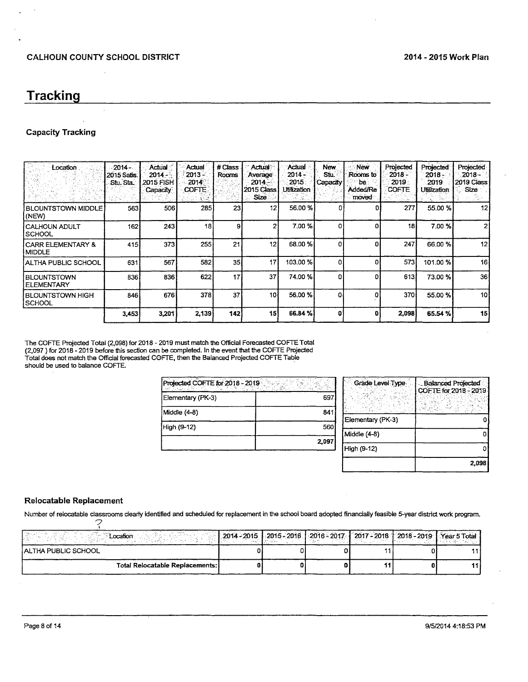# **Tracking**

#### **Capacity Tracking**

| Location                           | $-2014 -$<br>2015 Satis.<br>Stu Sta | Actual<br>2014<br>2015 FISH<br>Capacity | Actual<br>2013 -<br>2014<br>COFTE.<br>소곡<br>k Driger | # Class<br>Rooms | Actual<br>Average<br>$2014 -$<br>2015 Class<br>Size: | Actual<br>2014 -<br>2015<br>Utilization | New.<br>Stu.<br>Capacity | <b>New</b><br>Rooms to<br>be :<br><b>Added/Re</b><br>moved | Projected<br>2018 -<br>2019<br><b>COFTE</b> | Projected<br>2018 -<br>2019<br><b>Utilization</b> | Projected<br>$2018 -$<br>2019 Class<br>Size |
|------------------------------------|-------------------------------------|-----------------------------------------|------------------------------------------------------|------------------|------------------------------------------------------|-----------------------------------------|--------------------------|------------------------------------------------------------|---------------------------------------------|---------------------------------------------------|---------------------------------------------|
| <b>BLOUNTSTOWN MIDDLE</b><br>(NEW) | 563                                 | 506                                     | 285                                                  | 23               | 12                                                   | 56.00 %                                 | o                        | 0                                                          | 277                                         | 55.00 %                                           | 12 <sub>1</sub>                             |
| İ CALHOUN ADULT<br> SCHOOL         | 162                                 | 243                                     | 18                                                   | 9                |                                                      | 7.00%                                   | o                        | Ω                                                          | 18                                          | 7.00%                                             | 2                                           |
| I CARR ELEMENTARY &<br>MIDDLE      | 415                                 | 373                                     | 255                                                  | 21               | 12                                                   | 68.00%                                  | 0                        | n                                                          | 247                                         | 66.00 %                                           | 12                                          |
| I ALTHA PUBLIC SCHOOL              | 631                                 | 567                                     | 582                                                  | 35 <sub>1</sub>  | 17                                                   | 103.00%                                 | o                        |                                                            | 573                                         | 101.00%                                           | 16                                          |
| <b>BLOUNTSTOWN</b><br>I ELEMENTARY | 836                                 | 836                                     | 622                                                  | 17               | 37                                                   | 74.00%                                  | 0                        |                                                            | 613                                         | 73.00 %                                           | 36                                          |
| I BLOUNTSTOWN HIGH<br> SCHOOL      | 846                                 | 676                                     | 378                                                  | 37               | 10 <sub>1</sub>                                      | 56,00 %                                 | O.                       |                                                            | 370                                         | 55.00 %                                           | 10                                          |
|                                    | 3,453                               | 3,201                                   | 2,139                                                | 142              | 15                                                   | 66.84%                                  | O                        | Ð                                                          | 2,098                                       | 65.54 %                                           | 15                                          |

<u> 1980 - John Stein, mars an de Britannich (b. 1980)</u>

The COFTE Projected Total (2,098) for 2018 - 2019 must match the Official Forecasted COFTE Total (2,097) for 2018 - 2019 before this section can be completed. In the event that the COFTE Projected<br>Total does not match the Official forecasted COFTE, then the Balanced Projected COFTE Table should be used to balance COFTE.

| Projected COFTE for 2018 - 2019 |       |
|---------------------------------|-------|
| Elementary (PK-3)               | 697   |
| Middle (4-8)                    | 841   |
| High (9-12)                     | 560   |
|                                 | 2,097 |

| Grade Level Type  | Balanced Projected<br>COFTE for 2018 - 2019 |
|-------------------|---------------------------------------------|
|                   |                                             |
| Elementary (PK-3) |                                             |
| Middle (4-8)      |                                             |
| High (9-12)       |                                             |
|                   | 2.098                                       |

## Relocatable Replacement

Number of relocatable classrooms clearly identified and scheduled for replacement in the school board adopted financially feasible 5-year district work program.  $\widetilde{\phantom{a}}$ 

| Location                        | 2014 - 2015   2015 - 2016   2016 - 2017   2017 - 2018   2018 - 2019   Year 5 Total |  |  |  |
|---------------------------------|------------------------------------------------------------------------------------|--|--|--|
| I ALTHA PUBLIC SCHOOL           |                                                                                    |  |  |  |
| Total Relocatable Replacements: |                                                                                    |  |  |  |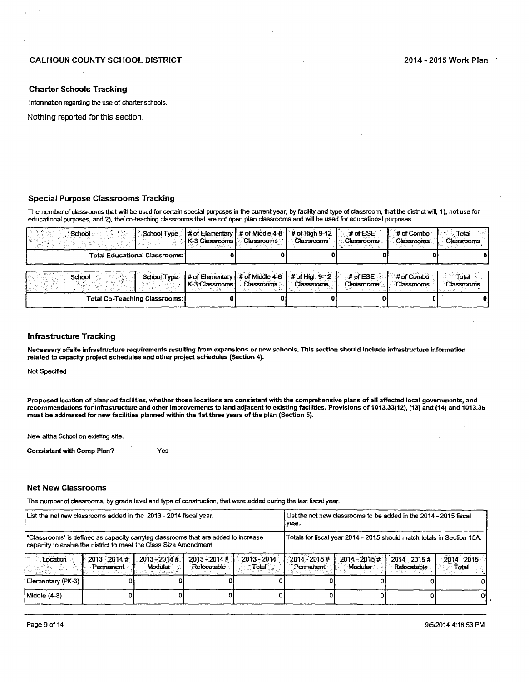#### **Charter Schools Tracking**

Information regarding the use of charter schools.

Nothing reported for this section.

# **Special Purpose Classrooms Tracking**

The number of classrooms that will be used for certain special purposes in the current year, by facility and type of classroom, that the district will, 1), not use for educational purposes, and 2), the co-teaching classrooms that are not open plan classrooms and will be used for educational purposes.

| School                               | $#$ of Elementary $#$ of Middle 4-8 | <b>Classrooms</b>   | $#$ of High 9-12  | $#$ of ESE        | # of Combo | Total        |
|--------------------------------------|-------------------------------------|---------------------|-------------------|-------------------|------------|--------------|
| School Type                          | l K-3 Classrooms l                  |                     | <b>Classrooms</b> | Classrooms        | Classrooms | Classrooms   |
| <b>Total Educational Classrooms:</b> |                                     |                     |                   |                   |            |              |
| School                               | # of Elementary                     | $#$ of Middle $4-8$ | # of High $9-12$  | $#$ of ESE        | # of Combo | <b>Total</b> |
| School Type                          | I K-3 Classrooms I                  | <b>Classrooms</b>   | <b>Classrooms</b> | <b>Classrooms</b> | Classrooms | Classrooms   |
| Total Co-Teaching Classrooms:        |                                     |                     |                   |                   |            |              |

#### **Infrastructure Tracking**

Necessary offsite infrastructure requirements resulting from expansions or new schools. This section should include infrastructure information related to capacity project schedules and other project schedules (Section 4).

Not Specified

Proposed location of planned facilities, whether those locations are consistent with the comprehensive plans of all affected local governments, and recommendations for infrastructure and other improvements to land adjacent to existing facilities. Provisions of 1013.33(12), (13) and (14) and 1013.36 must be addressed for new facilities planned within the 1st three years of the plan (Section 5).

New altha School on existing site.

**Consistent with Comp Plan?** Yes

#### **Net New Classrooms**

The number of classrooms, by grade level and type of construction, that were added during the last fiscal year.

| List the net new classrooms added in the 2013 - 2014 fiscal year.                                                                                       | List the net new classrooms to be added in the 2014 - 2015 fiscal<br>ivear. |                            |                                |                        |                                                                        |                            |                                |                        |  |
|---------------------------------------------------------------------------------------------------------------------------------------------------------|-----------------------------------------------------------------------------|----------------------------|--------------------------------|------------------------|------------------------------------------------------------------------|----------------------------|--------------------------------|------------------------|--|
| "Classrooms" is defined as capacity carrying classrooms that are added to increase<br>capacity to enable the district to meet the Class Size Amendment. |                                                                             |                            |                                |                        | Totals for fiscal year 2014 - 2015 should match totals in Section 15A. |                            |                                |                        |  |
| Location                                                                                                                                                | $2013 - 2014$ #<br>Permanent                                                | $2013 - 2014$ #<br>Modular | $2013 - 2014$ #<br>Relocatable | 2013 - 2014<br>Total i | $2014 - 2015 +$<br>Permanent                                           | $2014 - 2015$ #<br>Modular | $2014 - 2015$ #<br>Relocatable | $2014 - 2015$<br>Total |  |
| Elementary (PK-3)                                                                                                                                       |                                                                             |                            |                                |                        |                                                                        |                            |                                |                        |  |
| Middle (4–8)                                                                                                                                            |                                                                             |                            |                                |                        |                                                                        |                            |                                |                        |  |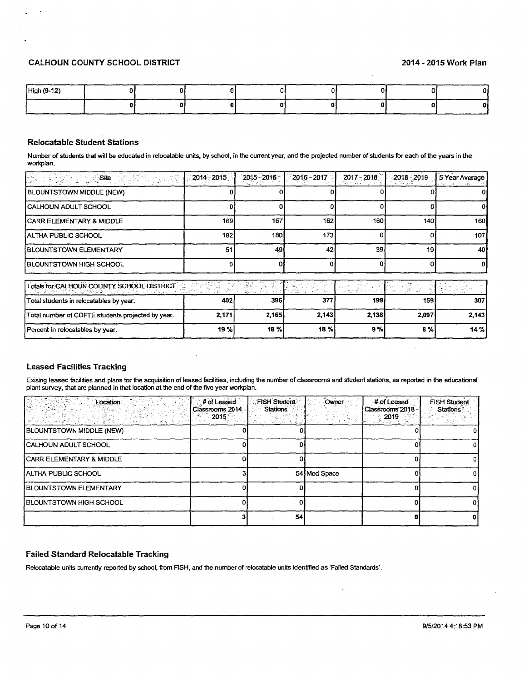# CALHOUN COUNTY SCHOOL DISTRICT 2014 - 2015 Work Plan

| High (9-12) |  |  |  | ---- |
|-------------|--|--|--|------|
|             |  |  |  |      |

# Relocatable Student Stations

Number of students that will be educated in relocatable units, by school, in the current year, and the projected number of students for each of the years in the workplan.

| Site                                              | $2014 - 2015$ | 2015 - 2016 | $2016 - 2017$ | $2017 - 2018$ | $2018 - 2019$ | 5 Year Average |
|---------------------------------------------------|---------------|-------------|---------------|---------------|---------------|----------------|
| BLOUNTSTOWN MIDDLE (NEW)                          |               |             |               |               |               |                |
| CALHOUN ADULT SCHOOL                              |               |             |               |               |               |                |
| CARR ELEMENTARY & MIDDLE                          | 169           | 167         | 162           | 160           | 140           | 160            |
| IALTHA PUBLIC SCHOOL                              | 182           | 180 l       | 173           |               | O.            | 1071           |
| <b>BLOUNTSTOWN ELEMENTARY</b>                     | 51            | 49          | 42            | 39            | 19            | 40I            |
| BLOUNTSTOWN HIGH SCHOOL                           |               |             |               |               | o             | 01             |
| Totals for CALHOUN COUNTY SCHOOL DISTRICT         | 歌手をきる         | 그대 노력화의 화장  | Titler,       | ريكو المجو    | -48.          |                |
| Total students in relocatables by year.           | 402           | 396         | 377           | 199           | 159           | 307            |
| Total number of COFTE students projected by year. | 2,171         | 2,165       | 2,143         | 2,138         | 2,097         | 2,143          |
| Percent in relocatables by year.                  | 19%           | 18%         | 18 %          | 9%            | 8%            | 14 %           |

# Leased Facilities Tracking

Exising leased facilities and plans for the acquisition of leased facilities, including the number of classrooms and student stations, as reported in the educational plant survey, that are planned in that location at the end of the five year workplan.

| Location                        | # of Leased<br>Classrooms 2014<br>2015 | <b>FISH Student</b><br><b>Stations</b><br><b>Reference</b> | Owner        | # of Leased<br>Classrooms 2018 -<br>$= 2019$ | <b>FISH Student</b><br><b>Stations</b> |
|---------------------------------|----------------------------------------|------------------------------------------------------------|--------------|----------------------------------------------|----------------------------------------|
| <b>BLOUNTSTOWN MIDDLE (NEW)</b> |                                        |                                                            |              |                                              |                                        |
| CALHOUN ADULT SCHOOL            |                                        |                                                            |              |                                              |                                        |
| I CARR ELEMENTARY & MIDDLE      |                                        |                                                            |              |                                              |                                        |
| Í ALTHA PUBLIC SCHOOL           |                                        |                                                            | 54 Mod Space |                                              |                                        |
| <b>BLOUNTSTOWN ELEMENTARY</b>   |                                        |                                                            |              |                                              |                                        |
| <b>BLOUNTSTOWN HIGH SCHOOL</b>  |                                        |                                                            |              |                                              |                                        |
|                                 |                                        | 54                                                         |              |                                              |                                        |

 $\Box$ 

## Failed Standard Relocatable Tracking

Relocatable units currently reported by school, from FISH, and the number of relocatable units identified as 'Failed Standards'.

 $\ddot{\phantom{a}}$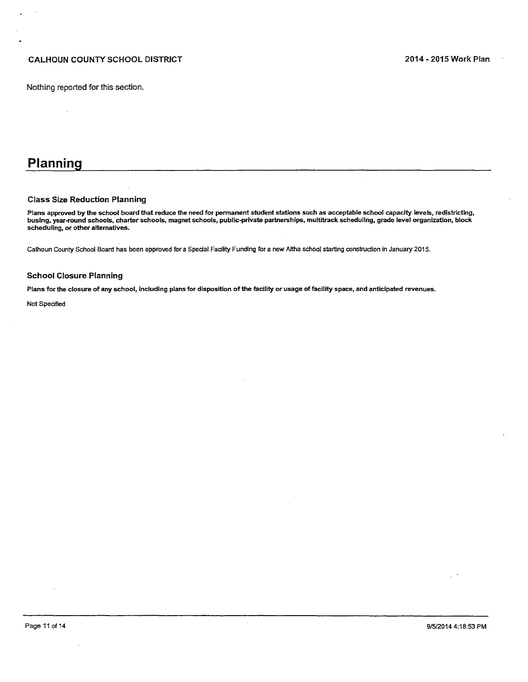# CALHOUN COUNTY SCHOOL DISTRICT **2014 - 2015 Work Plan**

# **Planning**

#### Class Size Reduction Planning

Plans approved by the school board that reduce the need for permanent student stations such as acceptable school capacity levels, redistricting, busing, year-round schools, charter schools, magnet schools, public-private partnerships, multitrack scheduling, grade level organization, block scheduling, or other alternatives.

Calhoun County School Board has been approved for a Spedal Fadlity Funding for a new Altha school starting construction in January 2015.

#### School Closure Planning

Plans for the closure of any school, including plans for disposition of the facility or usage of facility space, and anticipated revenues.

Not Specified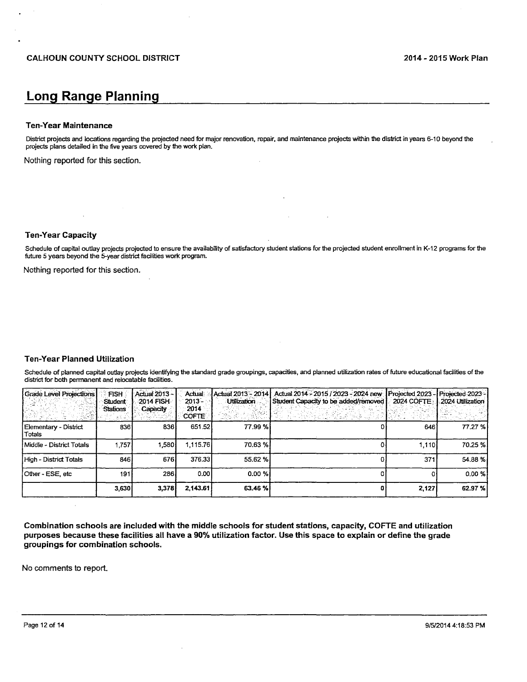# **Long Range Planning**

#### **Ten-Year Maintenance**

District projects and locations regarding the projected need for major renovation, repair, and maintenance projects within the district in years 6-10 beyond the projects plans detailed in the five years covered by the work plan.

Nothing reported for this section.

**Ten-Year Capacity** 

Schedule of capital outlay projects projected to ensure the availability of satisfactory student stations for the projected student enrollment in K-12 programs for the future 5 years beyond the 5-year district facilities work program.

Nothing reported for this section.

# **Ten-Year Planned Utilization**

Schedule of planned capital outlay projects identifying the standard grade groupings, capacities, and planned utilization rates of future educational facilities of the district for both permanent and relocatable facilities.

| <b>Grade Level Projections</b>  | <b>FISH</b><br>Student<br>Stations | Actual 2013 -<br>2014 FISH<br>Capacity | Actual<br>$2013 -$<br>2014<br><b>COFTE</b> | Actual 2013 - 2014 l<br>Utilization | Actual 2014 - 2015 / 2023 - 2024 new<br>Student Capacity to be added/removed<br>아 말을 내려가 해 봐. 아직도 다시 있지 않았습니다. | Projected 2023 - Projected 2023 -<br>2024 COFTE: | .2024 Utilization |
|---------------------------------|------------------------------------|----------------------------------------|--------------------------------------------|-------------------------------------|----------------------------------------------------------------------------------------------------------------|--------------------------------------------------|-------------------|
| Elementary - District<br>Totals | 836                                | 836                                    | 651.52                                     | 77.99%                              |                                                                                                                | 646                                              | 77.27 %           |
| Middle - District Totals        | .757                               | 1.580                                  | 1.115.76                                   | 70.63%                              |                                                                                                                | 1.110                                            | 70.25 %           |
| High - District Totals          | 846                                | 676                                    | 376.33                                     | 55.62 %                             |                                                                                                                | 371                                              | 54.88 %           |
| Other - ESE, etc                | 191                                | 286                                    | 0.00                                       | 0.00%                               |                                                                                                                |                                                  | 0.00%             |
|                                 | 3.630                              | 3.378                                  | 2.143.61                                   | 63.46 %                             |                                                                                                                | 2,127                                            | 62.97 %           |

Combination schools are included with the middle schools for student stations, capacity, COFTE and utilization purposes because these facilities all have a 90% utilization factor. Use this space to explain or define the grade groupings for combination schools.

No comments to report.

 $\bar{z}$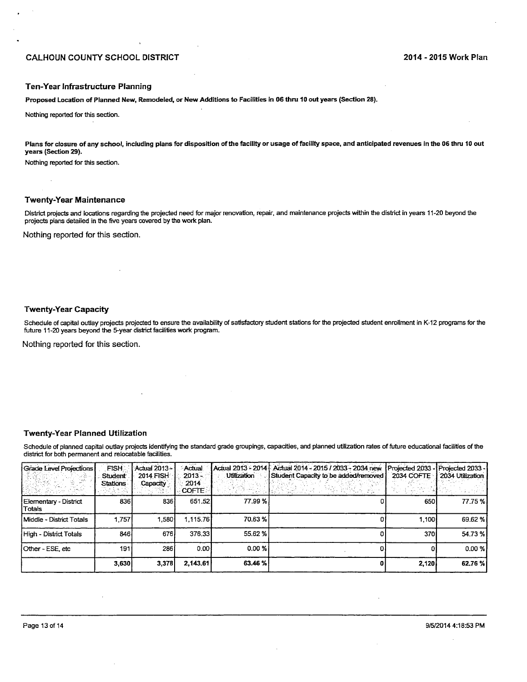#### Ten-Year Infrastructure Planning

Proposed Location of Planned New, Remodeled, or New Additions to Facilities in 06 thru 10 out years (Section 28).

Nothing reported for this section.

Plans for closure of any school, including plans for disposition of the facility or usage of facility space, and anticipated revenues in the 06 thru 10 out years (Section 29).

Nothing reported for this section.

#### **Twenty-Year Maintenance**

District projects and locations regarding the projected need for major renovation, repair, and maintenance projects within the district in years 11-20 beyond the projects plans detailed in the five years covered by the work plan.

Nothing reported for this section.

#### **Twenty-Year Capacity**

Schedule of capital outlay projects projected to ensure the availability of satisfactory student stations for the projected student enrollment in K-12 programs for the future 11-20 years beyond the 5-year district facilities work program.

Nothing reported for this section.

#### **Twenty-Year Planned Utilization**

Schedule of planned capital outlay projects identifying the standard grade groupings, capacities, and planned utilization rates of future educational facilities of the district for both permanent and relocatable facilities.

| Grade Level Projections           | <b>FISH</b><br><b>Student</b><br><b>Stations</b> | Actual 2013-<br><b>2014 FISH</b><br>Capacity | Actual<br>$2013 -$<br>2014<br><b>COFTE:</b> | Utilization | Actual 2013 - 2014   Actual 2014 - 2015 / 2033 - 2034 new<br>Student Capacity to be added/removed<br>t⊄an meloma 20 | Projected 2033 - Projected 2033 -<br>2034 COFTE | 2034 Utilization |
|-----------------------------------|--------------------------------------------------|----------------------------------------------|---------------------------------------------|-------------|---------------------------------------------------------------------------------------------------------------------|-------------------------------------------------|------------------|
| Elementary - District<br>l Totals | 8361                                             | 8361                                         | 651.52                                      | 77.99 %     |                                                                                                                     | 650                                             | 77.75 %I         |
| Middle - District Totals          | 1,757                                            | 1.580                                        | 1.115.76                                    | 70.63%      |                                                                                                                     | 1.100 I                                         | 69.62 %          |
| High - District Totals            | 846 l                                            | 676                                          | 376.33                                      | 55.62 %     |                                                                                                                     | 370                                             | 54.73%           |
| l Other - ESE, etc                | 191                                              | 286                                          | 0.001                                       | 0.00%       |                                                                                                                     |                                                 | $0.00 \%$        |
|                                   | 3,630                                            | 3,378                                        | 2,143.61                                    | 63.46 %     |                                                                                                                     | 2.120                                           | 62.76 %          |